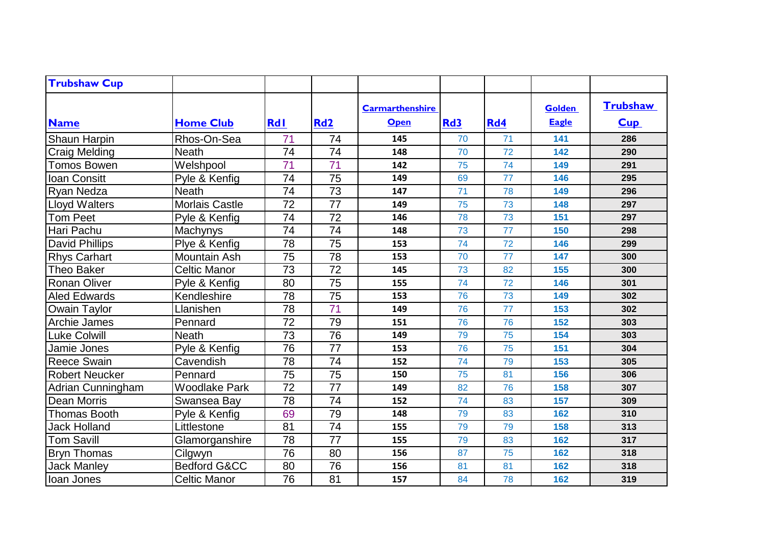| <b>Trubshaw Cup</b>   |                         |                 |                 |                                       |            |     |                               |                        |
|-----------------------|-------------------------|-----------------|-----------------|---------------------------------------|------------|-----|-------------------------------|------------------------|
| <b>Name</b>           | <b>Home Club</b>        | <b>RdI</b>      | Rd <sub>2</sub> | <b>Carmarthenshire</b><br><b>Open</b> | <b>Rd3</b> | Rd4 | <b>Golden</b><br><b>Eagle</b> | <b>Trubshaw</b><br>Cup |
| Shaun Harpin          | Rhos-On-Sea             | 71              | 74              | 145                                   | 70         | 71  | 141                           | 286                    |
| <b>Craig Melding</b>  | <b>Neath</b>            | 74              | 74              | 148                                   | 70         | 72  | 142                           | 290                    |
| Tomos Bowen           | Welshpool               | 71              | 71              | 142                                   | 75         | 74  | 149                           | 291                    |
| <b>Ioan Consitt</b>   | Pyle & Kenfig           | 74              | 75              | 149                                   | 69         | 77  | 146                           | 295                    |
| Ryan Nedza            | <b>Neath</b>            | 74              | 73              | 147                                   | 71         | 78  | 149                           | 296                    |
| <b>Lloyd Walters</b>  | Morlais Castle          | 72              | 77              | 149                                   | 75         | 73  | 148                           | 297                    |
| <b>Tom Peet</b>       | Pyle & Kenfig           | $\overline{74}$ | 72              | 146                                   | 78         | 73  | 151                           | 297                    |
| Hari Pachu            | Machynys                | 74              | 74              | 148                                   | 73         | 77  | 150                           | 298                    |
| <b>David Phillips</b> | Plye & Kenfig           | $\overline{78}$ | $\overline{75}$ | 153                                   | 74         | 72  | 146                           | 299                    |
| <b>Rhys Carhart</b>   | <b>Mountain Ash</b>     | 75              | 78              | 153                                   | 70         | 77  | 147                           | 300                    |
| Theo Baker            | <b>Celtic Manor</b>     | 73              | 72              | 145                                   | 73         | 82  | 155                           | 300                    |
| <b>Ronan Oliver</b>   | Pyle & Kenfig           | 80              | $\overline{75}$ | 155                                   | 74         | 72  | 146                           | 301                    |
| <b>Aled Edwards</b>   | Kendleshire             | 78              | 75              | 153                                   | 76         | 73  | 149                           | 302                    |
| Owain Taylor          | Llanishen               | 78              | 71              | 149                                   | 76         | 77  | 153                           | 302                    |
| Archie James          | Pennard                 | 72              | 79              | 151                                   | 76         | 76  | 152                           | 303                    |
| <b>Luke Colwill</b>   | <b>Neath</b>            | 73              | 76              | 149                                   | 79         | 75  | 154                           | 303                    |
| Jamie Jones           | Pyle & Kenfig           | 76              | $\overline{77}$ | 153                                   | 76         | 75  | 151                           | 304                    |
| <b>Reece Swain</b>    | Cavendish               | 78              | 74              | 152                                   | 74         | 79  | 153                           | 305                    |
| <b>Robert Neucker</b> | Pennard                 | 75              | 75              | 150                                   | 75         | 81  | 156                           | 306                    |
| Adrian Cunningham     | <b>Woodlake Park</b>    | 72              | 77              | 149                                   | 82         | 76  | 158                           | 307                    |
| <b>Dean Morris</b>    | Swansea Bay             | 78              | 74              | 152                                   | 74         | 83  | 157                           | 309                    |
| <b>Thomas Booth</b>   | Pyle & Kenfig           | 69              | 79              | 148                                   | 79         | 83  | 162                           | 310                    |
| <b>Jack Holland</b>   | Littlestone             | 81              | 74              | 155                                   | 79         | 79  | 158                           | 313                    |
| <b>Tom Savill</b>     | Glamorganshire          | 78              | 77              | 155                                   | 79         | 83  | 162                           | 317                    |
| <b>Bryn Thomas</b>    | Cilgwyn                 | 76              | 80              | 156                                   | 87         | 75  | 162                           | 318                    |
| <b>Jack Manley</b>    | <b>Bedford G&amp;CC</b> | 80              | 76              | 156                                   | 81         | 81  | 162                           | 318                    |
| Ioan Jones            | <b>Celtic Manor</b>     | 76              | 81              | 157                                   | 84         | 78  | 162                           | 319                    |